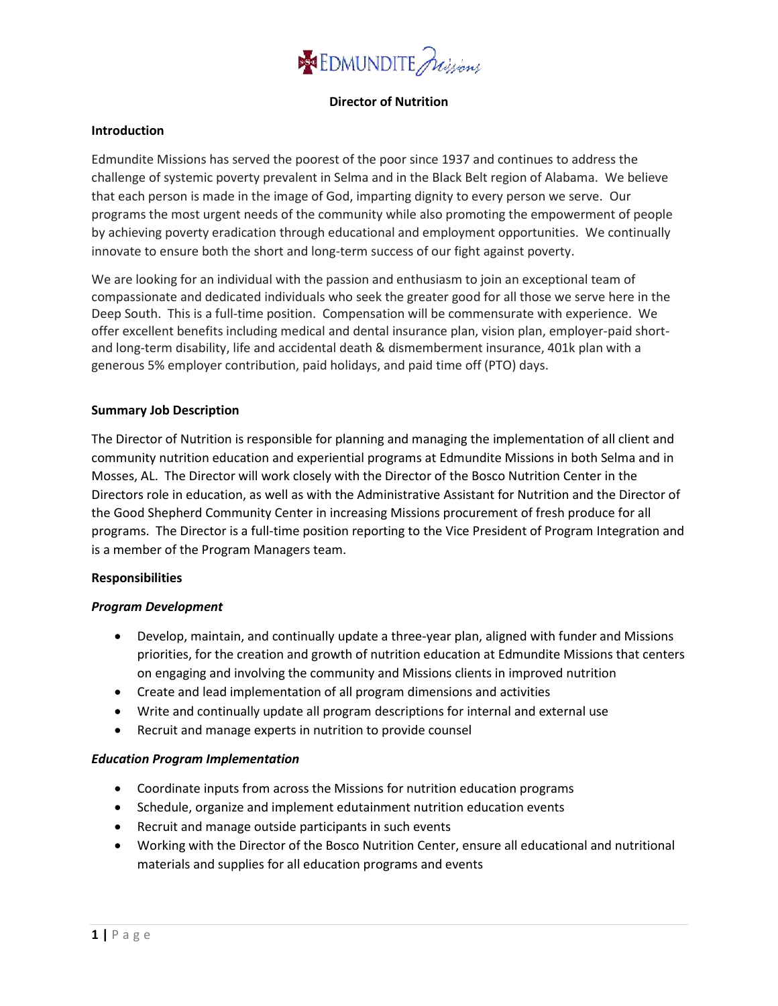

# **Director of Nutrition**

### **Introduction**

Edmundite Missions has served the poorest of the poor since 1937 and continues to address the challenge of systemic poverty prevalent in Selma and in the Black Belt region of Alabama. We believe that each person is made in the image of God, imparting dignity to every person we serve. Our programs the most urgent needs of the community while also promoting the empowerment of people by achieving poverty eradication through educational and employment opportunities. We continually innovate to ensure both the short and long-term success of our fight against poverty.

We are looking for an individual with the passion and enthusiasm to join an exceptional team of compassionate and dedicated individuals who seek the greater good for all those we serve here in the Deep South. This is a full-time position. Compensation will be commensurate with experience. We offer excellent benefits including medical and dental insurance plan, vision plan, employer-paid shortand long-term disability, life and accidental death & dismemberment insurance, 401k plan with a generous 5% employer contribution, paid holidays, and paid time off (PTO) days.

## **Summary Job Description**

The Director of Nutrition is responsible for planning and managing the implementation of all client and community nutrition education and experiential programs at Edmundite Missions in both Selma and in Mosses, AL. The Director will work closely with the Director of the Bosco Nutrition Center in the Directors role in education, as well as with the Administrative Assistant for Nutrition and the Director of the Good Shepherd Community Center in increasing Missions procurement of fresh produce for all programs. The Director is a full-time position reporting to the Vice President of Program Integration and is a member of the Program Managers team.

### **Responsibilities**

# *Program Development*

- Develop, maintain, and continually update a three-year plan, aligned with funder and Missions priorities, for the creation and growth of nutrition education at Edmundite Missions that centers on engaging and involving the community and Missions clients in improved nutrition
- Create and lead implementation of all program dimensions and activities
- Write and continually update all program descriptions for internal and external use
- Recruit and manage experts in nutrition to provide counsel

# *Education Program Implementation*

- Coordinate inputs from across the Missions for nutrition education programs
- Schedule, organize and implement edutainment nutrition education events
- Recruit and manage outside participants in such events
- Working with the Director of the Bosco Nutrition Center, ensure all educational and nutritional materials and supplies for all education programs and events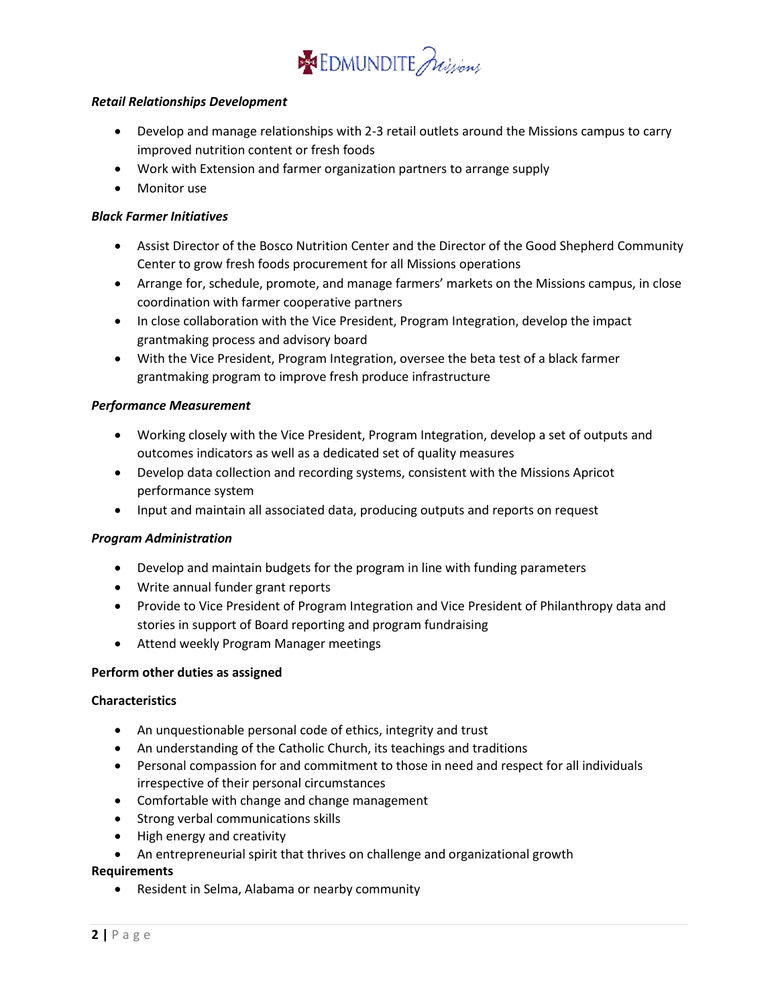

## *Retail Relationships Development*

- Develop and manage relationships with 2-3 retail outlets around the Missions campus to carry improved nutrition content or fresh foods
- Work with Extension and farmer organization partners to arrange supply
- Monitor use

## *Black Farmer Initiatives*

- Assist Director of the Bosco Nutrition Center and the Director of the Good Shepherd Community Center to grow fresh foods procurement for all Missions operations
- Arrange for, schedule, promote, and manage farmers' markets on the Missions campus, in close coordination with farmer cooperative partners
- In close collaboration with the Vice President, Program Integration, develop the impact grantmaking process and advisory board
- With the Vice President, Program Integration, oversee the beta test of a black farmer grantmaking program to improve fresh produce infrastructure

## *Performance Measurement*

- Working closely with the Vice President, Program Integration, develop a set of outputs and outcomes indicators as well as a dedicated set of quality measures
- Develop data collection and recording systems, consistent with the Missions Apricot performance system
- Input and maintain all associated data, producing outputs and reports on request

### *Program Administration*

- Develop and maintain budgets for the program in line with funding parameters
- Write annual funder grant reports
- Provide to Vice President of Program Integration and Vice President of Philanthropy data and stories in support of Board reporting and program fundraising
- Attend weekly Program Manager meetings

### **Perform other duties as assigned**

### **Characteristics**

- An unquestionable personal code of ethics, integrity and trust
- An understanding of the Catholic Church, its teachings and traditions
- Personal compassion for and commitment to those in need and respect for all individuals irrespective of their personal circumstances
- Comfortable with change and change management
- Strong verbal communications skills
- High energy and creativity
- An entrepreneurial spirit that thrives on challenge and organizational growth

# **Requirements**

Resident in Selma, Alabama or nearby community